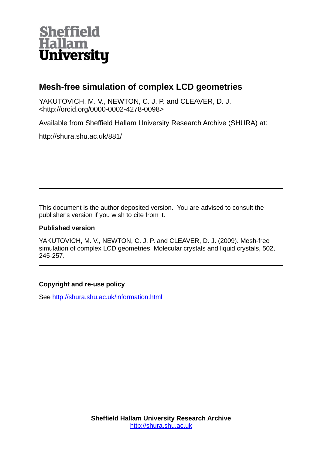

# **Mesh-free simulation of complex LCD geometries**

YAKUTOVICH, M. V., NEWTON, C. J. P. and CLEAVER, D. J. <http://orcid.org/0000-0002-4278-0098>

Available from Sheffield Hallam University Research Archive (SHURA) at:

http://shura.shu.ac.uk/881/

This document is the author deposited version. You are advised to consult the publisher's version if you wish to cite from it.

#### **Published version**

YAKUTOVICH, M. V., NEWTON, C. J. P. and CLEAVER, D. J. (2009). Mesh-free simulation of complex LCD geometries. Molecular crystals and liquid crystals, 502, 245-257.

## **Copyright and re-use policy**

See<http://shura.shu.ac.uk/information.html>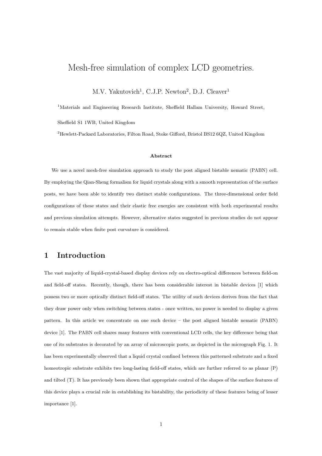# Mesh-free simulation of complex LCD geometries.

M.V. Yakutovich<sup>1</sup>, C.J.P. Newton<sup>2</sup>, D.J. Cleaver<sup>1</sup>

<sup>1</sup>Materials and Engineering Research Institute, Sheffield Hallam University, Howard Street,

Sheffield S1 1WB, United Kingdom

<sup>2</sup>Hewlett-Packard Laboratories, Filton Road, Stoke Gifford, Bristol BS12 6QZ, United Kingdom

#### Abstract

We use a novel mesh-free simulation approach to study the post aligned bistable nematic (PABN) cell. By employing the Qian-Sheng formalism for liquid crystals along with a smooth representation of the surface posts, we have been able to identify two distinct stable configurations. The three-dimensional order field configurations of these states and their elastic free energies are consistent with both experimental results and previous simulation attempts. However, alternative states suggested in previous studies do not appear to remain stable when finite post curvature is considered.

#### 1 Introduction

The vast majority of liquid-crystal-based display devices rely on electro-optical differences between field-on and field-off states. Recently, though, there has been considerable interest in bistable devices [1] which possess two or more optically distinct field-off states. The utility of such devices derives from the fact that they draw power only when switching between states - once written, no power is needed to display a given pattern. In this article we concentrate on one such device – the post aligned bistable nematic (PABN) device [1]. The PABN cell shares many features with conventional LCD cells, the key difference being that one of its substrates is decorated by an array of microscopic posts, as depicted in the micrograph Fig. 1. It has been experimentally observed that a liquid crystal confined between this patterned substrate and a fixed homeotropic substrate exhibits two long-lasting field-off states, which are further referred to as planar (P) and tilted (T). It has previously been shown that appropriate control of the shapes of the surface features of this device plays a crucial role in establishing its bistability, the periodicity of these features being of lesser importance [1].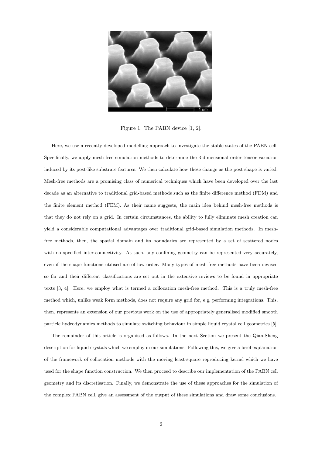

Figure 1: The PABN device [1, 2].

Here, we use a recently developed modelling approach to investigate the stable states of the PABN cell. Specifically, we apply mesh-free simulation methods to determine the 3-dimensional order tensor variation induced by its post-like substrate features. We then calculate how these change as the post shape is varied. Mesh-free methods are a promising class of numerical techniques which have been developed over the last decade as an alternative to traditional grid-based methods such as the finite difference method (FDM) and the finite element method (FEM). As their name suggests, the main idea behind mesh-free methods is that they do not rely on a grid. In certain circumstances, the ability to fully eliminate mesh creation can yield a considerable computational advantages over traditional grid-based simulation methods. In meshfree methods, then, the spatial domain and its boundaries are represented by a set of scattered nodes with no specified inter-connectivity. As such, any confining geometry can be represented very accurately, even if the shape functions utilised are of low order. Many types of mesh-free methods have been devised so far and their different classifications are set out in the extensive reviews to be found in appropriate texts [3, 4]. Here, we employ what is termed a collocation mesh-free method. This is a truly mesh-free method which, unlike weak form methods, does not require any grid for, e.g, performing integrations. This, then, represents an extension of our previous work on the use of appropriately generalised modified smooth particle hydrodynamics methods to simulate switching behaviour in simple liquid crystal cell geometries [5].

The remainder of this article is organised as follows. In the next Section we present the Qian-Sheng description for liquid crystals which we employ in our simulations. Following this, we give a brief explanation of the framework of collocation methods with the moving least-square reproducing kernel which we have used for the shape function construction. We then proceed to describe our implementation of the PABN cell geometry and its discretisation. Finally, we demonstrate the use of these approaches for the simulation of the complex PABN cell, give an assessment of the output of these simulations and draw some conclusions.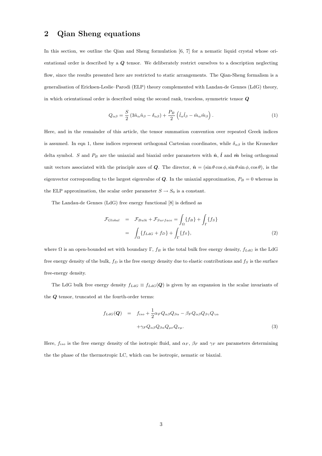# 2 Qian Sheng equations

In this section, we outline the Qian and Sheng formulation [6, 7] for a nematic liquid crystal whose orientational order is described by a  $Q$  tensor. We deliberately restrict ourselves to a description neglecting flow, since the results presented here are restricted to static arrangements. The Qian-Sheng formalism is a generalisation of Ericksen-Leslie–Parodi (ELP) theory complemented with Landau-de Gennes (LdG) theory, in which orientational order is described using the second rank, traceless, symmetric tensor  $Q$ 

$$
Q_{\alpha\beta} = \frac{S}{2} \left( 3\hat{n}_{\alpha}\hat{n}_{\beta} - \delta_{\alpha\beta} \right) + \frac{P_B}{2} \left( \hat{l}_{\alpha}\hat{l}_{\beta} - \hat{m}_{\alpha}\hat{m}_{\beta} \right). \tag{1}
$$

Here, and in the remainder of this article, the tensor summation convention over repeated Greek indices is assumed. In eqn 1, these indices represent orthogonal Cartesian coordinates, while  $\delta_{\alpha\beta}$  is the Kronecker delta symbol. S and  $P_B$  are the uniaxial and biaxial order parameters with  $\hat{n}$ ,  $\hat{l}$  and  $\hat{m}$  being orthogonal unit vectors associated with the principle axes of Q. The director,  $\hat{\mathbf{n}} = (\sin \theta \cos \phi, \sin \theta \sin \phi, \cos \theta)$ , is the eigenvector corresponding to the largest eigenvalue of  $Q$ . In the uniaxial approximation,  $P_B = 0$  whereas in the ELP approximation, the scalar order parameter  $S \to S_0$  is a constant.

The Landau-de Gennes (LdG) free energy functional [8] is defined as

$$
\mathcal{F}_{Global} = \mathcal{F}_{Bulk} + \mathcal{F}_{Surface} = \int_{\Omega} \{f_B\} + \int_{\Gamma} \{f_S\}
$$

$$
= \int_{\Omega} \{f_{LdG} + f_D\} + \int_{\Gamma} \{f_S\}, \tag{2}
$$

where  $\Omega$  is an open-bounded set with boundary Γ,  $f_B$  is the total bulk free energy density,  $f_{LdG}$  is the LdG free energy density of the bulk,  $f_D$  is the free energy density due to elastic contributions and  $f_S$  is the surface free-energy density.

The LdG bulk free energy density  $f_{LdG} \equiv f_{LdG}(Q)$  is given by an expansion in the scalar invariants of the  $Q$  tensor, truncated at the fourth-order terms:

$$
f_{LdG}(Q) = f_{iso} + \frac{1}{2} \alpha_F Q_{\alpha\beta} Q_{\beta\alpha} - \beta_F Q_{\alpha\beta} Q_{\beta\gamma} Q_{\gamma\alpha} + \gamma_F Q_{\alpha\beta} Q_{\beta\alpha} Q_{\mu\nu} Q_{\nu\mu}.
$$
\n(3)

Here,  $f_{iso}$  is the free energy density of the isotropic fluid, and  $\alpha_F$ ,  $\beta_F$  and  $\gamma_F$  are parameters determining the the phase of the thermotropic LC, which can be isotropic, nematic or biaxial.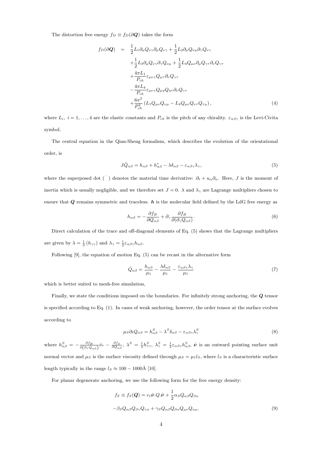The distortion free energy  $f_D \equiv f_D(\partial \mathbf{Q})$  takes the form

$$
f_D(\partial \mathbf{Q}) = \frac{1}{2} L_1 \partial_\mu Q_{\nu\gamma} \partial_\mu Q_{\nu\gamma} + \frac{1}{2} L_2 \partial_\mu Q_{\nu\mu} \partial_\gamma Q_{\nu\gamma} + \frac{1}{2} L_3 \partial_\mu Q_{\nu\gamma} \partial_\gamma Q_{\nu\mu} + \frac{1}{2} L_4 Q_{\mu\nu} \partial_\mu Q_{\gamma\tau} \partial_\nu Q_{\gamma\tau} + \frac{4\pi L_1}{P_{ch}} \varepsilon_{\mu\nu\gamma} Q_{\mu\tau} \partial_\nu Q_{\gamma\tau} - \frac{4\pi L_4}{P_{ch}} \varepsilon_{\mu\nu\gamma} Q_{\mu\eta} Q_{\eta\tau} \partial_\nu Q_{\gamma\tau} + \frac{6\pi^2}{P_{ch}^2} (L_1 Q_{\mu\nu} Q_{\nu\mu} - L_4 Q_{\mu\nu} Q_{\nu\tau} Q_{\tau\mu}), \tag{4}
$$

where  $L_i$ ,  $i = 1, \ldots, 4$  are the elastic constants and  $P_{ch}$  is the pitch of any chirality.  $\varepsilon_{\alpha\beta\gamma}$  is the Levi-Civita symbol.

The central equation in the Qian-Sheng formalism, which describes the evolution of the orientational order, is

$$
J\ddot{Q}_{\alpha\beta} = h_{\alpha\beta} + h_{\alpha\beta}^v - \lambda \delta_{\alpha\beta} - \varepsilon_{\alpha\beta\gamma} \lambda_{\gamma},\tag{5}
$$

where the superposed dot () denotes the material time derivative:  $\partial_t + u_\alpha \partial_\alpha$ . Here, J is the moment of inertia which is usually negligible, and we therefore set  $J = 0$ .  $\lambda$  and  $\lambda_{\gamma}$  are Lagrange multipliers chosen to ensure that  $Q$  remains symmetric and traceless.  $h$  is the molecular field defined by the LdG free energy as

$$
h_{\alpha\beta} = -\frac{\partial f_B}{\partial Q_{\alpha\beta}} + \partial_\gamma \frac{\partial f_B}{\partial (\partial_\gamma Q_{\alpha\beta})}.
$$
\n(6)

Direct calculation of the trace and off-diagonal elements of Eq. (5) shows that the Lagrange multipliers are given by  $\lambda = \frac{1}{3} (h_{\gamma\gamma})$  and  $\lambda_{\gamma} = \frac{1}{2} \varepsilon_{\alpha\beta\gamma} h_{\alpha\beta}$ .

Following [9], the equation of motion Eq. (5) can be recast in the alternative form

$$
\dot{Q}_{\alpha\beta} = \frac{h_{\alpha\beta}}{\mu_1} - \frac{\lambda \delta_{\alpha\beta}}{\mu_1} - \frac{\varepsilon_{\alpha\beta\gamma}\lambda_{\gamma}}{\mu_1} \tag{7}
$$

which is better suited to mesh-free simulation,

Finally, we state the conditions imposed on the boundaries. For infinitely strong anchoring, the Q tensor is specified according to Eq. (1). In cases of weak anchoring, however, the order tensor at the surface evolves according to

$$
\mu_S \partial_t Q_{\alpha\beta} = h_{\alpha\beta}^S - \lambda^S \delta_{\alpha\beta} - \varepsilon_{\alpha\beta\gamma} \lambda_\gamma^S \tag{8}
$$

where  $h_{\alpha\beta}^S = -\frac{\partial f_B}{\partial(\partial_\tau Q_{\alpha\beta})}\hat{\nu}_\tau - \frac{\partial f_S}{\partial Q_{\alpha\beta}}, \ \lambda^S = \frac{1}{3}h_{\gamma\gamma}^S, \ \lambda_\gamma^S = \frac{1}{2}\varepsilon_{\alpha\beta\gamma}h_{\alpha\beta}^S, \ \hat{\nu}$  is an outward pointing surface unit normal vector and  $\mu_S$  is the surface viscosity defined through  $\mu_S = \mu_1 l_S$ , where  $l_S$  is a characteristic surface length typically in the range  $l_S \approx 100 - 1000\text{\AA}$  [10].

For planar degenerate anchoring, we use the following form for the free energy density:

$$
f_S \equiv f_S(Q) = c_1 \hat{\nu} . Q . \hat{\nu} + \frac{1}{2} \alpha_S Q_{\alpha\beta} Q_{\beta\alpha}
$$

$$
-\beta_S Q_{\alpha\beta} Q_{\beta\gamma} Q_{\gamma\alpha} + \gamma_S Q_{\alpha\beta} Q_{\beta\alpha} Q_{\mu\nu} Q_{\nu\mu},
$$
(9)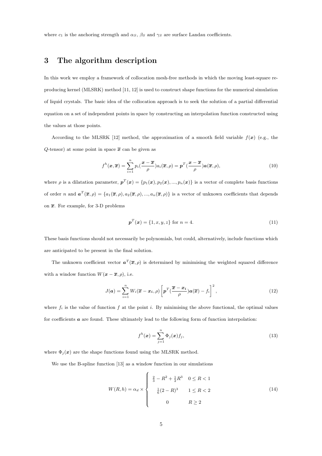where  $c_1$  is the anchoring strength and  $\alpha_S$ ,  $\beta_S$  and  $\gamma_S$  are surface Landau coefficients.

# 3 The algorithm description

In this work we employ a framework of collocation mesh-free methods in which the moving least-square reproducing kernel (MLSRK) method [11, 12] is used to construct shape functions for the numerical simulation of liquid crystals. The basic idea of the collocation approach is to seek the solution of a partial differential equation on a set of independent points in space by constructing an interpolation function constructed using the values at those points.

According to the MLSRK [12] method, the approximation of a smooth field variable  $f(x)$  (e.g., the Q-tensor) at some point in space  $\bar{x}$  can be given as

$$
f^{h}(\boldsymbol{x},\overline{\boldsymbol{x}})=\sum_{i=1}^{n}p_{i}(\frac{\boldsymbol{x}-\overline{\boldsymbol{x}}}{\rho})a_{i}(\overline{\boldsymbol{x}},\rho)=\boldsymbol{p}^{T}(\frac{\boldsymbol{x}-\overline{\boldsymbol{x}}}{\rho})\boldsymbol{a}(\overline{\boldsymbol{x}},\rho),
$$
\n(10)

where  $\rho$  is a dilatation parameter,  $p^T(x) = \{p_1(x), p_2(x), ..., p_n(x)\}\$ is a vector of complete basis functions of order n and  $a^T(\overline{x},\rho) = \{a_1(\overline{x},\rho), a_2(\overline{x},\rho), ..., a_n(\overline{x},\rho)\}\$ is a vector of unknown coefficients that depends on  $\bar{x}$ . For example, for 3-D problems

$$
\boldsymbol{p}^T(\boldsymbol{x}) = \{1, x, y, z\} \text{ for } n = 4. \tag{11}
$$

These basis functions should not necessarily be polynomials, but could, alternatively, include functions which are anticipated to be present in the final solution.

The unknown coefficient vector  $a^T(\bar{x}, \rho)$  is determined by minimising the weighted squared difference with a window function  $W(\mathbf{x}-\overline{\mathbf{x}}, \rho)$ , i.e.

$$
J(\boldsymbol{a}) = \sum_{i=1}^{n} W_i(\overline{\boldsymbol{x}} - \boldsymbol{x}_i, \rho) \left[ \boldsymbol{p}^T (\frac{\overline{\boldsymbol{x}} - \boldsymbol{x}_i}{\rho}) \boldsymbol{a}(\overline{\boldsymbol{x}}) - f_i \right]^2, \qquad (12)
$$

where  $f_i$  is the value of function f at the point i. By minimising the above functional, the optimal values for coefficients  $\boldsymbol{a}$  are found. These ultimately lead to the following form of function interpolation:

$$
f^{h}(\boldsymbol{x}) = \sum_{j=1}^{n} \Phi_{j}(\boldsymbol{x}) f_{j}, \qquad (13)
$$

where  $\Phi_j(x)$  are the shape functions found using the MLSRK method.

We use the B-spline function [13] as a window function in our simulations

$$
W(R, h) = \alpha_d \times \begin{cases} \frac{2}{3} - R^2 + \frac{1}{2}R^3 & 0 \le R < 1 \\ \frac{1}{6}(2 - R)^3 & 1 \le R < 2 \\ 0 & R \ge 2 \end{cases}
$$
(14)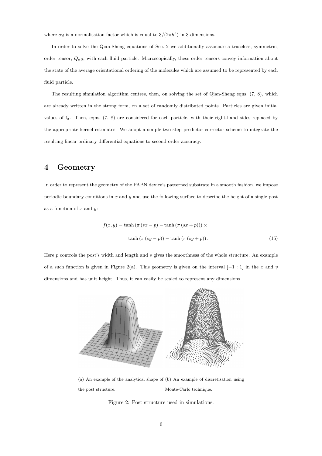where  $\alpha_d$  is a normalisation factor which is equal to  $3/(2\pi h^3)$  in 3-dimensions.

In order to solve the Qian-Sheng equations of Sec. 2 we additionally associate a traceless, symmetric, order tensor,  $Q_{\alpha\beta}$ , with each fluid particle. Microscopically, these order tensors convey information about the state of the average orientational ordering of the molecules which are assumed to be represented by each fluid particle.

The resulting simulation algorithm centres, then, on solving the set of Qian-Sheng eqns. (7, 8), which are already written in the strong form, on a set of randomly distributed points. Particles are given initial values of Q. Then, eqns. (7, 8) are considered for each particle, with their right-hand sides replaced by the appropriate kernel estimates. We adopt a simple two step predictor-corrector scheme to integrate the resulting linear ordinary differential equations to second order accuracy.

#### 4 Geometry

In order to represent the geometry of the PABN device's patterned substrate in a smooth fashion, we impose periodic boundary conditions in x and y and use the following surface to describe the height of a single post as a function of  $x$  and  $y$ :

$$
f(x,y) = \tanh(\pi (sx - p) - \tanh(\pi (sx + p))) \times
$$

$$
\tanh(\pi (sy - p)) - \tanh(\pi (sy + p)).
$$
 (15)

Here  $p$  controls the post's width and length and  $s$  gives the smoothness of the whole structure. An example of a such function is given in Figure 2(a). This geometry is given on the interval  $[-1:1]$  in the x and y dimensions and has unit height. Thus, it can easily be scaled to represent any dimensions.



(a) An example of the analytical shape of (b) An example of discretisation using the post structure. Monte-Carlo technique.

Figure 2: Post structure used in simulations.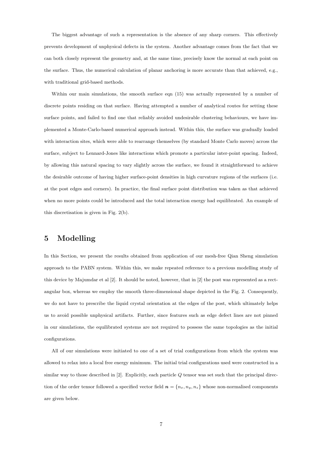The biggest advantage of such a representation is the absence of any sharp corners. This effectively prevents development of unphysical defects in the system. Another advantage comes from the fact that we can both closely represent the geometry and, at the same time, precisely know the normal at each point on the surface. Thus, the numerical calculation of planar anchoring is more accurate than that achieved, e.g., with traditional grid-based methods.

Within our main simulations, the smooth surface eqn (15) was actually represented by a number of discrete points residing on that surface. Having attempted a number of analytical routes for setting these surface points, and failed to find one that reliably avoided undesirable clustering behaviours, we have implemented a Monte-Carlo-based numerical approach instead. Within this, the surface was gradually loaded with interaction sites, which were able to rearrange themselves (by standard Monte Carlo moves) across the surface, subject to Lennard-Jones like interactions which promote a particular inter-point spacing. Indeed, by allowing this natural spacing to vary slightly across the surface, we found it straightforward to achieve the desirable outcome of having higher surface-point densities in high curvature regions of the surfaces (i.e. at the post edges and corners). In practice, the final surface point distribution was taken as that achieved when no more points could be introduced and the total interaction energy had equilibrated. An example of this discretisation is given in Fig. 2(b).

#### 5 Modelling

In this Section, we present the results obtained from application of our mesh-free Qian Sheng simulation approach to the PABN system. Within this, we make repeated reference to a previous modelling study of this device by Majumdar et al [2]. It should be noted, however, that in [2] the post was represented as a rectangular box, whereas we employ the smooth three-dimensional shape depicted in the Fig. 2. Consequently, we do not have to prescribe the liquid crystal orientation at the edges of the post, which ultimately helps us to avoid possible unphysical artifacts. Further, since features such as edge defect lines are not pinned in our simulations, the equilibrated systems are not required to possess the same topologies as the initial configurations.

All of our simulations were initiated to one of a set of trial configurations from which the system was allowed to relax into a local free energy minimum. The initial trial configurations used were constructed in a similar way to those described in  $[2]$ . Explicitly, each particle Q tensor was set such that the principal direction of the order tensor followed a specified vector field  $n = \{n_x, n_y, n_z\}$  whose non-normalised components are given below.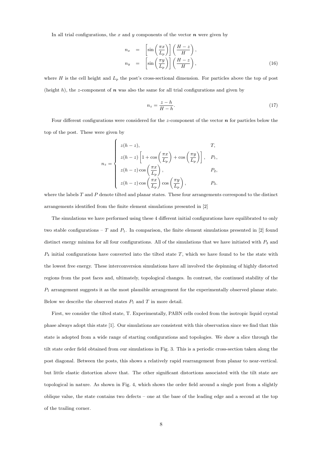In all trial configurations, the x and y components of the vector  $\boldsymbol{n}$  were given by

 $\overline{a}$ 

$$
n_x = \left[\sin\left(\frac{\pi x}{L_p}\right)\right] \left(\frac{H-z}{H}\right),
$$
  
\n
$$
n_y = \left[\sin\left(\frac{\pi y}{L_p}\right)\right] \left(\frac{H-z}{H}\right),
$$
\n(16)

where H is the cell height and  $L_p$  the post's cross-sectional dimension. For particles above the top of post (height h), the z-component of  $n$  was also the same for all trial configurations and given by

$$
n_z = \frac{z - h}{H - h}.\tag{17}
$$

Four different configurations were considered for the z-component of the vector  $n$  for particles below the top of the post. These were given by

$$
n_z = \begin{cases} z(h-z), & T, \\ z(h-z) \left[ 1 + \cos\left(\frac{\pi x}{L_p}\right) + \cos\left(\frac{\pi y}{L_p}\right) \right], & P_1, \\ z(h-z) \cos\left(\frac{\pi x}{L_p}\right), & P_2, \\ z(h-z) \cos\left(\frac{\pi x}{L_p}\right) \cos\left(\frac{\pi y}{L_p}\right), & P_3. \end{cases}
$$

where the labels T and P denote tilted and planar states. These four arrangements correspond to the distinct arrangements identified from the finite element simulations presented in [2]

The simulations we have performed using these 4 different initial configurations have equilibrated to only two stable configurations – T and  $P_1$ . In comparison, the finite element simulations presented in [2] found distinct energy minima for all four configurations. All of the simulations that we have initiated with  $P_3$  and  $P_4$  initial configurations have converted into the tilted state T, which we have found to be the state with the lowest free energy. These interconversion simulations have all involved the depinning of highly distorted regions from the post faces and, ultimately, topological changes. In contrast, the continued stability of the  $P_1$  arrangement suggests it as the most plausible arrangement for the experimentally observed planar state. Below we describe the observed states  $P_1$  and  $T$  in more detail.

First, we consider the tilted state, T. Experimentally, PABN cells cooled from the isotropic liquid crystal phase always adopt this state [1]. Our simulations are consistent with this observation since we find that this state is adopted from a wide range of starting configurations and topologies. We show a slice through the tilt state order field obtained from our simulations in Fig. 3. This is a periodic cross-section taken along the post diagonal. Between the posts, this shows a relatively rapid rearrangement from planar to near-vertical. but little elastic distortion above that. The other significant distortions associated with the tilt state are topological in nature. As shown in Fig. 4, which shows the order field around a single post from a slightly oblique value, the state contains two defects – one at the base of the leading edge and a second at the top of the trailing corner.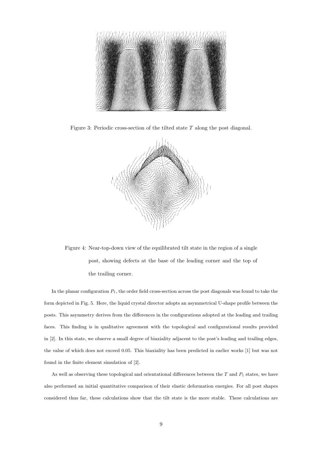

Figure 3: Periodic cross-section of the tilted state T along the post diagonal.



Figure 4: Near-top-down view of the equilibrated tilt state in the region of a single post, showing defects at the base of the leading corner and the top of the trailing corner.

In the planar configuration  $P_1$ , the order field cross-section across the post diagonals was found to take the form depicted in Fig. 5. Here, the liquid crystal director adopts an asymmetrical U-shape profile between the posts. This asymmetry derives from the differences in the configurations adopted at the leading and trailing faces. This finding is in qualitative agreement with the topological and configurational results provided in [2]. In this state, we observe a small degree of biaxiality adjacent to the post's leading and trailing edges, the value of which does not exceed 0.05. This biaxiality has been predicted in earlier works [1] but was not found in the finite element simulation of [2].

As well as observing these topological and orientational differences between the  $T$  and  $P_1$  states, we have also performed an initial quantitative comparison of their elastic deformation energies. For all post shapes considered thus far, these calculations show that the tilt state is the more stable. These calculations are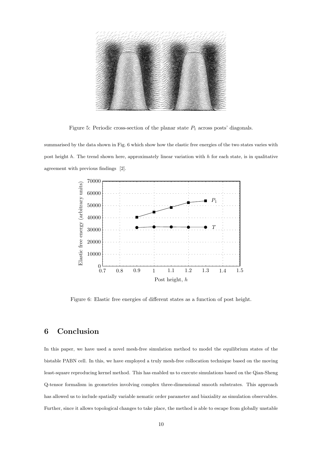

Figure 5: Periodic cross-section of the planar state  $P_1$  across posts' diagonals.

summarised by the data shown in Fig. 6 which show how the elastic free energies of the two states varies with post height  $h$ . The trend shown here, approximately linear variation with  $h$  for each state, is in qualitative agreement with previous findings [2].



Figure 6: Elastic free energies of different states as a function of post height.

## 6 Conclusion

In this paper, we have used a novel mesh-free simulation method to model the equilibrium states of the bistable PABN cell. In this, we have employed a truly mesh-free collocation technique based on the moving least-square reproducing kernel method. This has enabled us to execute simulations based on the Qian-Sheng Q-tensor formalism in geometries involving complex three-dimensional smooth substrates. This approach has allowed us to include spatially variable nematic order parameter and biaxiality as simulation observables. Further, since it allows topological changes to take place, the method is able to escape from globally unstable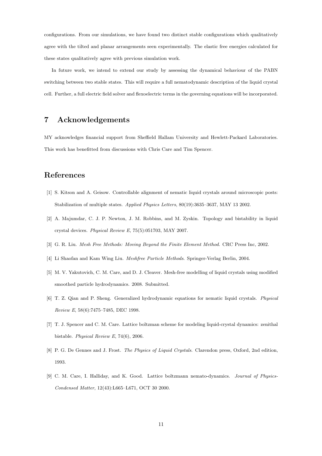configurations. From our simulations, we have found two distinct stable configurations which qualitatively agree with the tilted and planar arrangements seen experimentally. The elastic free energies calculated for these states qualitatively agree with previous simulation work.

In future work, we intend to extend our study by assessing the dynamical behaviour of the PABN switching between two stable states. This will require a full nematodynamic description of the liquid crystal cell. Further, a full electric field solver and flexoelectric terms in the governing equations will be incorporated.

# 7 Acknowledgements

MY acknowledges financial support from Sheffield Hallam University and Hewlett-Packard Laboratories. This work has benefitted from discussions with Chris Care and Tim Spencer.

## References

- [1] S. Kitson and A. Geisow. Controllable alignment of nematic liquid crystals around microscopic posts: Stabilization of multiple states. Applied Physics Letters, 80(19):3635–3637, MAY 13 2002.
- [2] A. Majumdar, C. J. P. Newton, J. M. Robbins, and M. Zyskin. Topology and bistability in liquid crystal devices. Physical Review E, 75(5):051703, MAY 2007.
- [3] G. R. Liu. Mesh Free Methods: Moving Beyond the Finite Element Method. CRC Press Inc, 2002.
- [4] Li Shaofan and Kam Wing Liu. Meshfree Particle Methods. Springer-Verlag Berlin, 2004.
- [5] M. V. Yakutovich, C. M. Care, and D. J. Cleaver. Mesh-free modelling of liquid crystals using modified smoothed particle hydrodynamics. 2008. Submitted.
- [6] T. Z. Qian and P. Sheng. Generalized hydrodynamic equations for nematic liquid crystals. Physical Review E, 58(6):7475–7485, DEC 1998.
- [7] T. J. Spencer and C. M. Care. Lattice boltzman scheme for modeling liquid-crystal dynamics: zenithal bistable. Physical Review E, 74(6), 2006.
- [8] P. G. De Gennes and J. Frost. The Physics of Liquid Crystals. Clarendon press, Oxford, 2nd edition, 1993.
- [9] C. M. Care, I. Halliday, and K. Good. Lattice boltzmann nemato-dynamics. Journal of Physics-Condensed Matter, 12(43):L665–L671, OCT 30 2000.